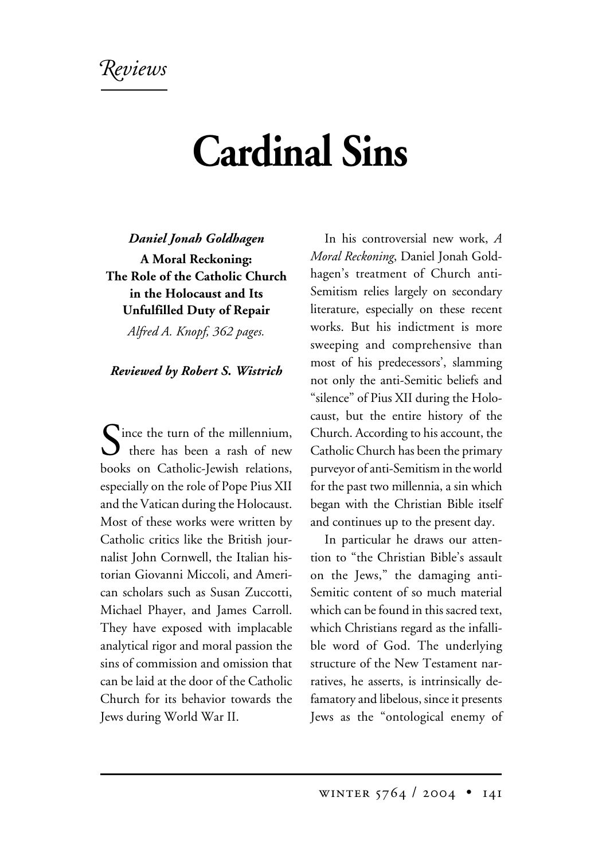*eviews*

## **Cardinal Sins**

*Daniel Jonah Goldhagen*

**A Moral Reckoning: The Role of the Catholic Church in the Holocaust and Its Unfulfilled Duty of Repair**

*Alfred A. Knopf, 362 pages.*

*Reviewed by Robert S. Wistrich*

 $\sum_{\text{there has been a rash of new}}$ books on Catholic-Jewish relations, especially on the role of Pope Pius XII and the Vatican during the Holocaust. Most of these works were written by Catholic critics like the British journalist John Cornwell, the Italian historian Giovanni Miccoli, and American scholars such as Susan Zuccotti, Michael Phayer, and James Carroll. They have exposed with implacable analytical rigor and moral passion the sins of commission and omission that can be laid at the door of the Catholic Church for its behavior towards the Jews during World War II.

In his controversial new work, *A Moral Reckoning*, Daniel Jonah Goldhagen's treatment of Church anti-Semitism relies largely on secondary literature, especially on these recent works. But his indictment is more sweeping and comprehensive than most of his predecessors', slamming not only the anti-Semitic beliefs and "silence" of Pius XII during the Holocaust, but the entire history of the Church. According to his account, the Catholic Church has been the primary purveyor of anti-Semitism in the world for the past two millennia, a sin which began with the Christian Bible itself and continues up to the present day.

In particular he draws our attention to "the Christian Bible's assault on the Jews," the damaging anti-Semitic content of so much material which can be found in this sacred text, which Christians regard as the infallible word of God. The underlying structure of the New Testament narratives, he asserts, is intrinsically defamatory and libelous, since it presents Jews as the "ontological enemy of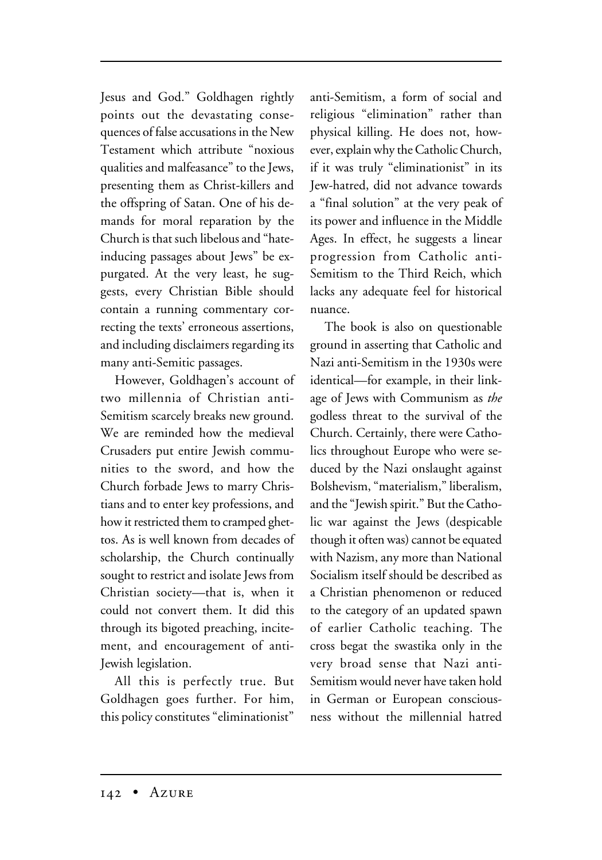Jesus and God." Goldhagen rightly points out the devastating consequences of false accusations in the New Testament which attribute "noxious qualities and malfeasance" to the Jews, presenting them as Christ-killers and the offspring of Satan. One of his demands for moral reparation by the Church is that such libelous and "hateinducing passages about Jews" be expurgated. At the very least, he suggests, every Christian Bible should contain a running commentary correcting the texts' erroneous assertions, and including disclaimers regarding its many anti-Semitic passages.

However, Goldhagen's account of two millennia of Christian anti-Semitism scarcely breaks new ground. We are reminded how the medieval Crusaders put entire Jewish communities to the sword, and how the Church forbade Jews to marry Christians and to enter key professions, and how it restricted them to cramped ghettos. As is well known from decades of scholarship, the Church continually sought to restrict and isolate Jews from Christian society—that is, when it could not convert them. It did this through its bigoted preaching, incitement, and encouragement of anti-Jewish legislation.

All this is perfectly true. But Goldhagen goes further. For him, this policy constitutes "eliminationist" anti-Semitism, a form of social and religious "elimination" rather than physical killing. He does not, however, explain why the Catholic Church, if it was truly "eliminationist" in its Jew-hatred, did not advance towards a "final solution" at the very peak of its power and influence in the Middle Ages. In effect, he suggests a linear progression from Catholic anti-Semitism to the Third Reich, which lacks any adequate feel for historical nuance.

The book is also on questionable ground in asserting that Catholic and Nazi anti-Semitism in the 1930s were identical—for example, in their linkage of Jews with Communism as *the* godless threat to the survival of the Church. Certainly, there were Catholics throughout Europe who were seduced by the Nazi onslaught against Bolshevism, "materialism," liberalism, and the "Jewish spirit." But the Catholic war against the Jews (despicable though it often was) cannot be equated with Nazism, any more than National Socialism itself should be described as a Christian phenomenon or reduced to the category of an updated spawn of earlier Catholic teaching. The cross begat the swastika only in the very broad sense that Nazi anti-Semitism would never have taken hold in German or European consciousness without the millennial hatred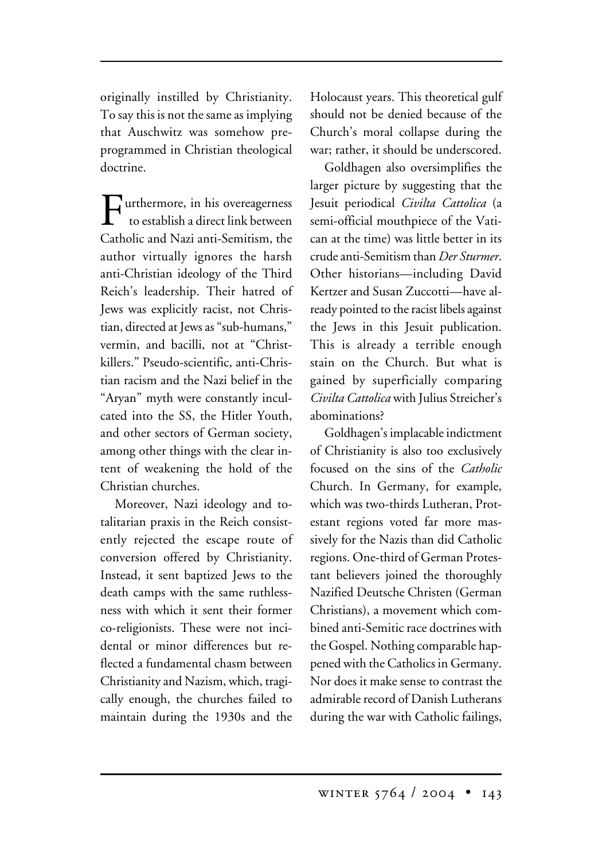originally instilled by Christianity. To say this is not the same as implying that Auschwitz was somehow preprogrammed in Christian theological doctrine.

**T**urthermore, in his overeagerness to establish a direct link between Catholic and Nazi anti-Semitism, the author virtually ignores the harsh anti-Christian ideology of the Third Reich's leadership. Their hatred of Jews was explicitly racist, not Christian, directed at Jews as "sub-humans," vermin, and bacilli, not at "Christkillers." Pseudo-scientific, anti-Christian racism and the Nazi belief in the "Aryan" myth were constantly inculcated into the SS, the Hitler Youth, and other sectors of German society, among other things with the clear intent of weakening the hold of the Christian churches.

Moreover, Nazi ideology and totalitarian praxis in the Reich consistently rejected the escape route of conversion offered by Christianity. Instead, it sent baptized Jews to the death camps with the same ruthlessness with which it sent their former co-religionists. These were not incidental or minor differences but reflected a fundamental chasm between Christianity and Nazism, which, tragically enough, the churches failed to maintain during the 1930s and the

Holocaust years. This theoretical gulf should not be denied because of the Church's moral collapse during the war; rather, it should be underscored.

Goldhagen also oversimplifies the larger picture by suggesting that the Jesuit periodical *Civilta Cattolica* (a semi-official mouthpiece of the Vatican at the time) was little better in its crude anti-Semitism than *Der Sturmer*. Other historians—including David Kertzer and Susan Zuccotti—have already pointed to the racist libels against the Jews in this Jesuit publication. This is already a terrible enough stain on the Church. But what is gained by superficially comparing *Civilta Cattolica* with Julius Streicher's abominations?

Goldhagen's implacable indictment of Christianity is also too exclusively focused on the sins of the *Catholic* Church. In Germany, for example, which was two-thirds Lutheran, Protestant regions voted far more massively for the Nazis than did Catholic regions. One-third of German Protestant believers joined the thoroughly Nazified Deutsche Christen (German Christians), a movement which combined anti-Semitic race doctrines with the Gospel. Nothing comparable happened with the Catholics in Germany. Nor does it make sense to contrast the admirable record of Danish Lutherans during the war with Catholic failings,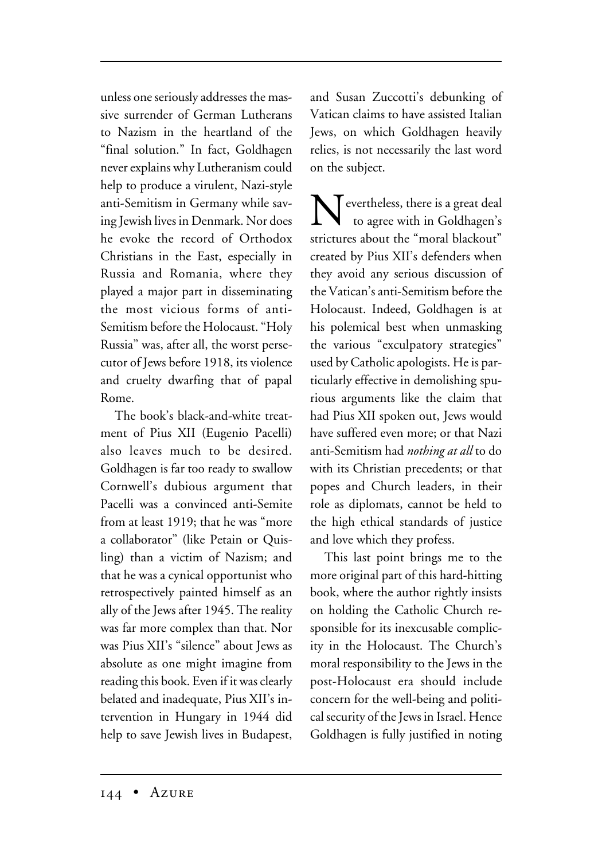unless one seriously addresses the massive surrender of German Lutherans to Nazism in the heartland of the "final solution." In fact, Goldhagen never explains why Lutheranism could help to produce a virulent, Nazi-style anti-Semitism in Germany while saving Jewish lives in Denmark. Nor does he evoke the record of Orthodox Christians in the East, especially in Russia and Romania, where they played a major part in disseminating the most vicious forms of anti-Semitism before the Holocaust. "Holy Russia" was, after all, the worst persecutor of Jews before 1918, its violence and cruelty dwarfing that of papal Rome.

The book's black-and-white treatment of Pius XII (Eugenio Pacelli) also leaves much to be desired. Goldhagen is far too ready to swallow Cornwell's dubious argument that Pacelli was a convinced anti-Semite from at least 1919; that he was "more a collaborator" (like Petain or Quisling) than a victim of Nazism; and that he was a cynical opportunist who retrospectively painted himself as an ally of the Jews after 1945. The reality was far more complex than that. Nor was Pius XII's "silence" about Jews as absolute as one might imagine from reading this book. Even if it was clearly belated and inadequate, Pius XII's intervention in Hungary in 1944 did help to save Jewish lives in Budapest,

and Susan Zuccotti's debunking of Vatican claims to have assisted Italian Jews, on which Goldhagen heavily relies, is not necessarily the last word on the subject.

Nevertheless, there is a great deal to agree with in Goldhagen's strictures about the "moral blackout" created by Pius XII's defenders when they avoid any serious discussion of the Vatican's anti-Semitism before the Holocaust. Indeed, Goldhagen is at his polemical best when unmasking the various "exculpatory strategies" used by Catholic apologists. He is particularly effective in demolishing spurious arguments like the claim that had Pius XII spoken out, Jews would have suffered even more; or that Nazi anti-Semitism had *nothing at all* to do with its Christian precedents; or that popes and Church leaders, in their role as diplomats, cannot be held to the high ethical standards of justice and love which they profess.

This last point brings me to the more original part of this hard-hitting book, where the author rightly insists on holding the Catholic Church responsible for its inexcusable complicity in the Holocaust. The Church's moral responsibility to the Jews in the post-Holocaust era should include concern for the well-being and political security of the Jews in Israel. Hence Goldhagen is fully justified in noting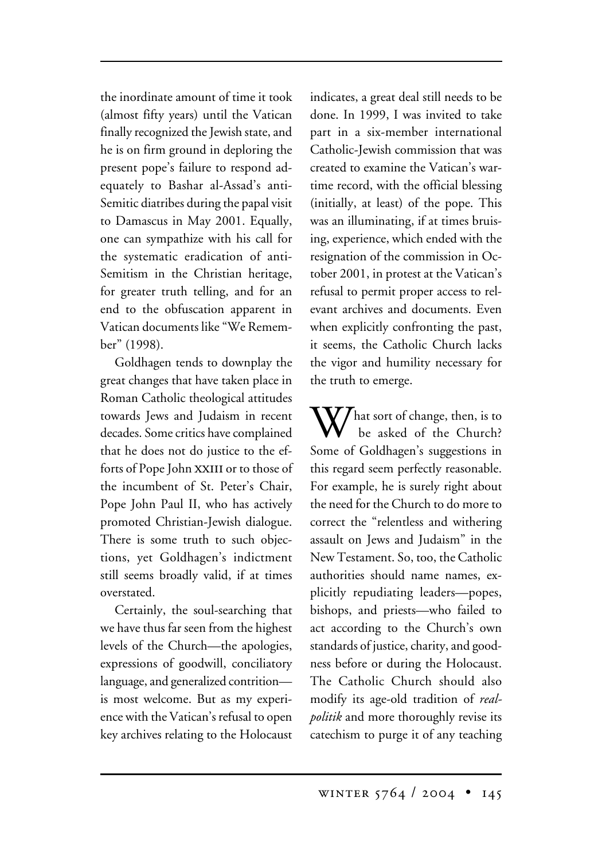the inordinate amount of time it took (almost fifty years) until the Vatican finally recognized the Jewish state, and he is on firm ground in deploring the present pope's failure to respond adequately to Bashar al-Assad's anti-Semitic diatribes during the papal visit to Damascus in May 2001. Equally, one can sympathize with his call for the systematic eradication of anti-Semitism in the Christian heritage, for greater truth telling, and for an end to the obfuscation apparent in Vatican documents like "We Remember" (1998).

Goldhagen tends to downplay the great changes that have taken place in Roman Catholic theological attitudes towards Jews and Judaism in recent decades. Some critics have complained that he does not do justice to the efforts of Pope John XXIII or to those of the incumbent of St. Peter's Chair, Pope John Paul II, who has actively promoted Christian-Jewish dialogue. There is some truth to such objections, yet Goldhagen's indictment still seems broadly valid, if at times overstated.

Certainly, the soul-searching that we have thus far seen from the highest levels of the Church—the apologies, expressions of goodwill, conciliatory language, and generalized contrition is most welcome. But as my experience with the Vatican's refusal to open key archives relating to the Holocaust

indicates, a great deal still needs to be done. In 1999, I was invited to take part in a six-member international Catholic-Jewish commission that was created to examine the Vatican's wartime record, with the official blessing (initially, at least) of the pope. This was an illuminating, if at times bruising, experience, which ended with the resignation of the commission in October 2001, in protest at the Vatican's refusal to permit proper access to relevant archives and documents. Even when explicitly confronting the past, it seems, the Catholic Church lacks the vigor and humility necessary for the truth to emerge.

 $\boldsymbol{V}$ hat sort of change, then, is to be asked of the Church? Some of Goldhagen's suggestions in this regard seem perfectly reasonable. For example, he is surely right about the need for the Church to do more to correct the "relentless and withering assault on Jews and Judaism" in the New Testament. So, too, the Catholic authorities should name names, explicitly repudiating leaders—popes, bishops, and priests—who failed to act according to the Church's own standards of justice, charity, and goodness before or during the Holocaust. The Catholic Church should also modify its age-old tradition of *realpolitik* and more thoroughly revise its catechism to purge it of any teaching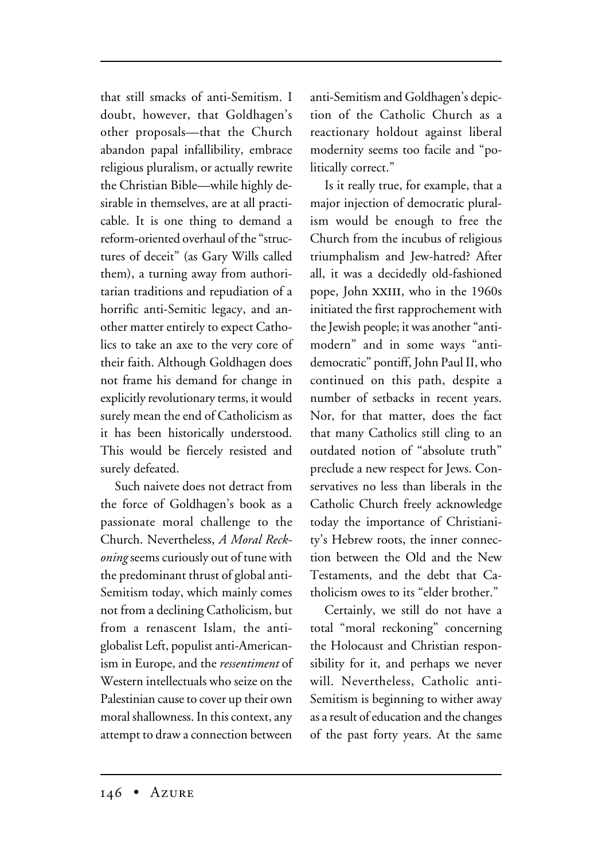that still smacks of anti-Semitism. I doubt, however, that Goldhagen's other proposals—that the Church abandon papal infallibility, embrace religious pluralism, or actually rewrite the Christian Bible—while highly desirable in themselves, are at all practicable. It is one thing to demand a reform-oriented overhaul of the "structures of deceit" (as Gary Wills called them), a turning away from authoritarian traditions and repudiation of a horrific anti-Semitic legacy, and another matter entirely to expect Catholics to take an axe to the very core of their faith. Although Goldhagen does not frame his demand for change in explicitly revolutionary terms, it would surely mean the end of Catholicism as it has been historically understood. This would be fiercely resisted and surely defeated.

Such naivete does not detract from the force of Goldhagen's book as a passionate moral challenge to the Church. Nevertheless, *A Moral Reckoning*seems curiously out of tune with the predominant thrust of global anti-Semitism today, which mainly comes not from a declining Catholicism, but from a renascent Islam, the antiglobalist Left, populist anti-Americanism in Europe, and the *ressentiment* of Western intellectuals who seize on the Palestinian cause to cover up their own moral shallowness. In this context, any attempt to draw a connection between

anti-Semitism and Goldhagen's depiction of the Catholic Church as a reactionary holdout against liberal modernity seems too facile and "politically correct."

Is it really true, for example, that a major injection of democratic pluralism would be enough to free the Church from the incubus of religious triumphalism and Jew-hatred? After all, it was a decidedly old-fashioned pope, John xxiii, who in the 1960s initiated the first rapprochement with the Jewish people; it was another "antimodern" and in some ways "antidemocratic" pontiff, John Paul II, who continued on this path, despite a number of setbacks in recent years. Nor, for that matter, does the fact that many Catholics still cling to an outdated notion of "absolute truth" preclude a new respect for Jews. Conservatives no less than liberals in the Catholic Church freely acknowledge today the importance of Christianity's Hebrew roots, the inner connection between the Old and the New Testaments, and the debt that Catholicism owes to its "elder brother."

Certainly, we still do not have a total "moral reckoning" concerning the Holocaust and Christian responsibility for it, and perhaps we never will. Nevertheless, Catholic anti-Semitism is beginning to wither away as a result of education and the changes of the past forty years. At the same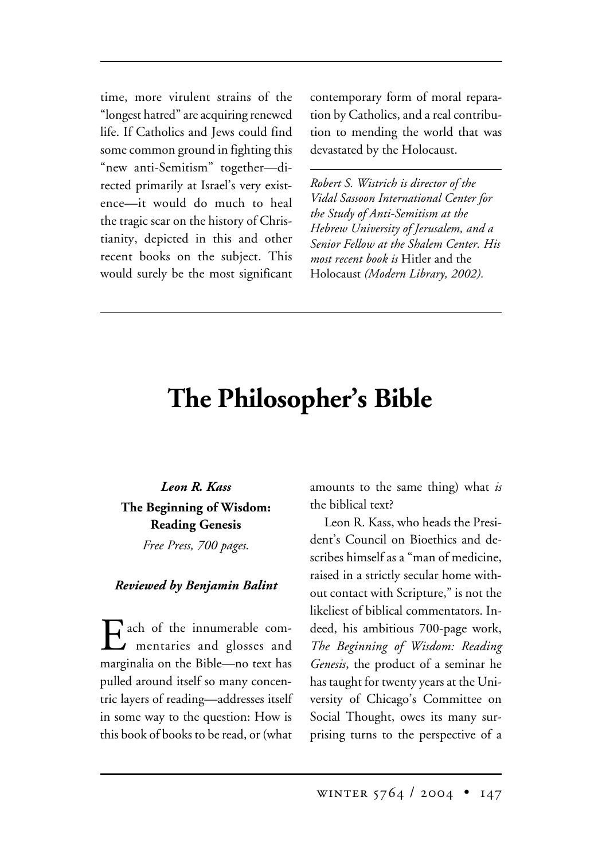time, more virulent strains of the "longest hatred" are acquiring renewed life. If Catholics and Jews could find some common ground in fighting this "new anti-Semitism" together—directed primarily at Israel's very existence—it would do much to heal the tragic scar on the history of Christianity, depicted in this and other recent books on the subject. This would surely be the most significant contemporary form of moral reparation by Catholics, and a real contribution to mending the world that was devastated by the Holocaust.

*Robert S. Wistrich is director of the Vidal Sassoon International Center for the Study of Anti-Semitism at the Hebrew University of Jerusalem, and a Senior Fellow at the Shalem Center. His most recent book is* Hitler and the Holocaust *(Modern Library, 2002).*

## **The Philosopher's Bible**

*Leon R. Kass* **The Beginning of Wisdom: Reading Genesis**

*Free Press, 700 pages.*

## *Reviewed by Benjamin Balint*

Each of the innumerable com-<br>mentaries and glosses and marginalia on the Bible—no text has pulled around itself so many concentric layers of reading—addresses itself in some way to the question: How is this book of books to be read, or (what

amounts to the same thing) what *is* the biblical text?

Leon R. Kass, who heads the President's Council on Bioethics and describes himself as a "man of medicine, raised in a strictly secular home without contact with Scripture," is not the likeliest of biblical commentators. Indeed, his ambitious 700-page work, *The Beginning of Wisdom: Reading Genesis*, the product of a seminar he has taught for twenty years at the University of Chicago's Committee on Social Thought, owes its many surprising turns to the perspective of a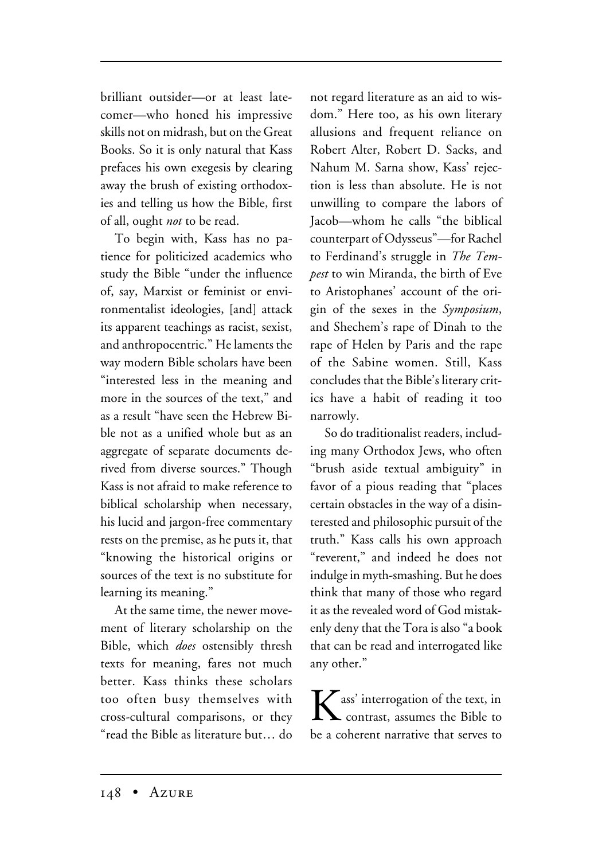brilliant outsider—or at least latecomer—who honed his impressive skills not on midrash, but on the Great Books. So it is only natural that Kass prefaces his own exegesis by clearing away the brush of existing orthodoxies and telling us how the Bible, first of all, ought *not* to be read.

To begin with, Kass has no patience for politicized academics who study the Bible "under the influence of, say, Marxist or feminist or environmentalist ideologies, [and] attack its apparent teachings as racist, sexist, and anthropocentric." He laments the way modern Bible scholars have been "interested less in the meaning and more in the sources of the text," and as a result "have seen the Hebrew Bible not as a unified whole but as an aggregate of separate documents derived from diverse sources." Though Kass is not afraid to make reference to biblical scholarship when necessary, his lucid and jargon-free commentary rests on the premise, as he puts it, that "knowing the historical origins or sources of the text is no substitute for learning its meaning."

At the same time, the newer movement of literary scholarship on the Bible, which *does* ostensibly thresh texts for meaning, fares not much better. Kass thinks these scholars too often busy themselves with cross-cultural comparisons, or they "read the Bible as literature but… do

not regard literature as an aid to wisdom." Here too, as his own literary allusions and frequent reliance on Robert Alter, Robert D. Sacks, and Nahum M. Sarna show, Kass' rejection is less than absolute. He is not unwilling to compare the labors of Jacob—whom he calls "the biblical counterpart of Odysseus"—for Rachel to Ferdinand's struggle in *The Tempest* to win Miranda, the birth of Eve to Aristophanes' account of the origin of the sexes in the *Symposium*, and Shechem's rape of Dinah to the rape of Helen by Paris and the rape of the Sabine women. Still, Kass concludes that the Bible's literary critics have a habit of reading it too narrowly.

So do traditionalist readers, including many Orthodox Jews, who often "brush aside textual ambiguity" in favor of a pious reading that "places certain obstacles in the way of a disinterested and philosophic pursuit of the truth." Kass calls his own approach "reverent," and indeed he does not indulge in myth-smashing. But he does think that many of those who regard it as the revealed word of God mistakenly deny that the Tora is also "a book that can be read and interrogated like any other."

 $\sum$  ass' interrogation of the text, in contrast, assumes the Bible to be a coherent narrative that serves to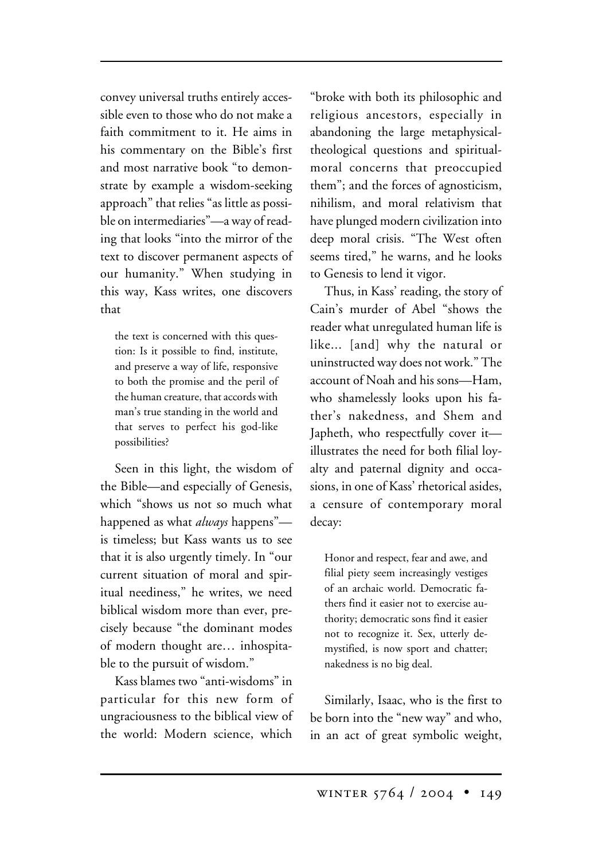convey universal truths entirely accessible even to those who do not make a faith commitment to it. He aims in his commentary on the Bible's first and most narrative book "to demonstrate by example a wisdom-seeking approach" that relies "as little as possible on intermediaries"—a way of reading that looks "into the mirror of the text to discover permanent aspects of our humanity." When studying in this way, Kass writes, one discovers that

the text is concerned with this question: Is it possible to find, institute, and preserve a way of life, responsive to both the promise and the peril of the human creature, that accords with man's true standing in the world and that serves to perfect his god-like possibilities?

Seen in this light, the wisdom of the Bible—and especially of Genesis, which "shows us not so much what happened as what *always* happens" is timeless; but Kass wants us to see that it is also urgently timely. In "our current situation of moral and spiritual neediness," he writes, we need biblical wisdom more than ever, precisely because "the dominant modes of modern thought are… inhospitable to the pursuit of wisdom."

Kass blames two "anti-wisdoms" in particular for this new form of ungraciousness to the biblical view of the world: Modern science, which

"broke with both its philosophic and religious ancestors, especially in abandoning the large metaphysicaltheological questions and spiritualmoral concerns that preoccupied them"; and the forces of agnosticism, nihilism, and moral relativism that have plunged modern civilization into deep moral crisis. "The West often seems tired," he warns, and he looks to Genesis to lend it vigor.

Thus, in Kass' reading, the story of Cain's murder of Abel "shows the reader what unregulated human life is like... [and] why the natural or uninstructed way does not work." The account of Noah and his sons—Ham, who shamelessly looks upon his father's nakedness, and Shem and Japheth, who respectfully cover it illustrates the need for both filial loyalty and paternal dignity and occasions, in one of Kass' rhetorical asides, a censure of contemporary moral decay:

Honor and respect, fear and awe, and filial piety seem increasingly vestiges of an archaic world. Democratic fathers find it easier not to exercise authority; democratic sons find it easier not to recognize it. Sex, utterly demystified, is now sport and chatter; nakedness is no big deal.

Similarly, Isaac, who is the first to be born into the "new way" and who, in an act of great symbolic weight,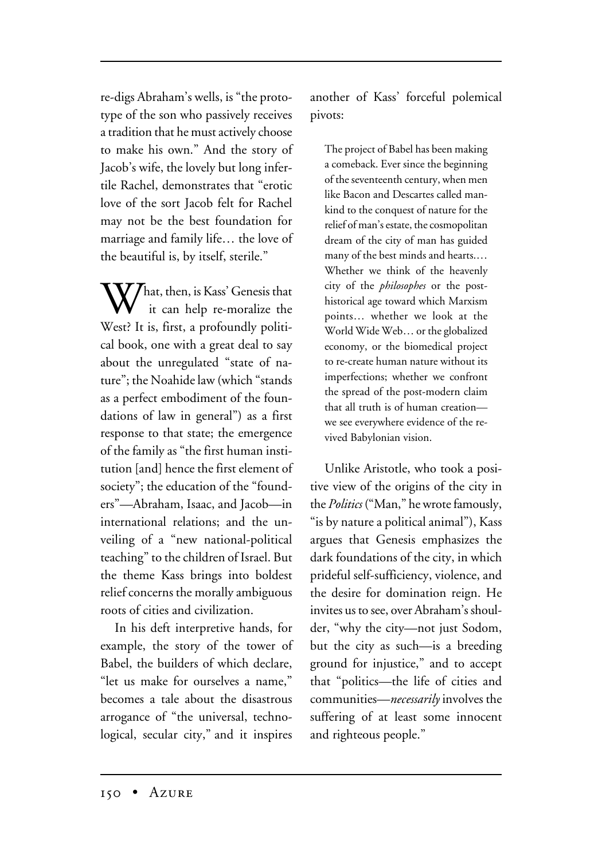re-digs Abraham's wells, is "the prototype of the son who passively receives a tradition that he must actively choose to make his own." And the story of Jacob's wife, the lovely but long infertile Rachel, demonstrates that "erotic love of the sort Jacob felt for Rachel may not be the best foundation for marriage and family life… the love of the beautiful is, by itself, sterile."

 $\bf V$  / hat, then, is Kass' Genesis that it can help re-moralize the West? It is, first, a profoundly political book, one with a great deal to say about the unregulated "state of nature"; the Noahide law (which "stands as a perfect embodiment of the foundations of law in general") as a first response to that state; the emergence of the family as "the first human institution [and] hence the first element of society"; the education of the "founders"—Abraham, Isaac, and Jacob—in international relations; and the unveiling of a "new national-political teaching" to the children of Israel. But the theme Kass brings into boldest relief concerns the morally ambiguous roots of cities and civilization.

In his deft interpretive hands, for example, the story of the tower of Babel, the builders of which declare, "let us make for ourselves a name," becomes a tale about the disastrous arrogance of "the universal, technological, secular city," and it inspires

another of Kass' forceful polemical pivots:

The project of Babel has been making a comeback. Ever since the beginning of the seventeenth century, when men like Bacon and Descartes called mankind to the conquest of nature for the relief of man's estate, the cosmopolitan dream of the city of man has guided many of the best minds and hearts.… Whether we think of the heavenly city of the *philosophes* or the posthistorical age toward which Marxism points… whether we look at the World Wide Web… or the globalized economy, or the biomedical project to re-create human nature without its imperfections; whether we confront the spread of the post-modern claim that all truth is of human creation we see everywhere evidence of the revived Babylonian vision.

Unlike Aristotle, who took a positive view of the origins of the city in the *Politics* ("Man," he wrote famously, "is by nature a political animal"), Kass argues that Genesis emphasizes the dark foundations of the city, in which prideful self-sufficiency, violence, and the desire for domination reign. He invites us to see, over Abraham's shoulder, "why the city—not just Sodom, but the city as such—is a breeding ground for injustice," and to accept that "politics—the life of cities and communities—*necessarily* involves the suffering of at least some innocent and righteous people."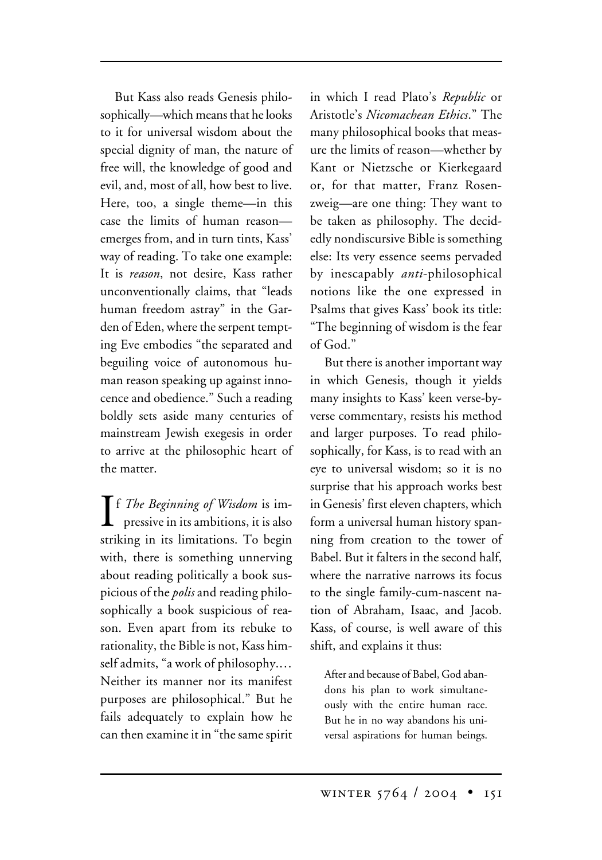But Kass also reads Genesis philosophically—which means that he looks to it for universal wisdom about the special dignity of man, the nature of free will, the knowledge of good and evil, and, most of all, how best to live. Here, too, a single theme—in this case the limits of human reason emerges from, and in turn tints, Kass' way of reading. To take one example: It is *reason*, not desire, Kass rather unconventionally claims, that "leads human freedom astray" in the Garden of Eden, where the serpent tempting Eve embodies "the separated and beguiling voice of autonomous human reason speaking up against innocence and obedience." Such a reading boldly sets aside many centuries of mainstream Jewish exegesis in order to arrive at the philosophic heart of the matter.

**I** f *The Beginning of Wisdom* is im-<br>pressive in its ambitions, it is also pressive in its ambitions, it is also striking in its limitations. To begin with, there is something unnerving about reading politically a book suspicious of the *polis* and reading philosophically a book suspicious of reason. Even apart from its rebuke to rationality, the Bible is not, Kass himself admits, "a work of philosophy.… Neither its manner nor its manifest purposes are philosophical." But he fails adequately to explain how he can then examine it in "the same spirit

in which I read Plato's *Republic* or Aristotle's *Nicomachean Ethics*." The many philosophical books that measure the limits of reason—whether by Kant or Nietzsche or Kierkegaard or, for that matter, Franz Rosenzweig—are one thing: They want to be taken as philosophy. The decidedly nondiscursive Bible is something else: Its very essence seems pervaded by inescapably *anti*-philosophical notions like the one expressed in Psalms that gives Kass' book its title: "The beginning of wisdom is the fear of God."

But there is another important way in which Genesis, though it yields many insights to Kass' keen verse-byverse commentary, resists his method and larger purposes. To read philosophically, for Kass, is to read with an eye to universal wisdom; so it is no surprise that his approach works best in Genesis' first eleven chapters, which form a universal human history spanning from creation to the tower of Babel. But it falters in the second half, where the narrative narrows its focus to the single family-cum-nascent nation of Abraham, Isaac, and Jacob. Kass, of course, is well aware of this shift, and explains it thus:

After and because of Babel, God abandons his plan to work simultaneously with the entire human race. But he in no way abandons his universal aspirations for human beings.